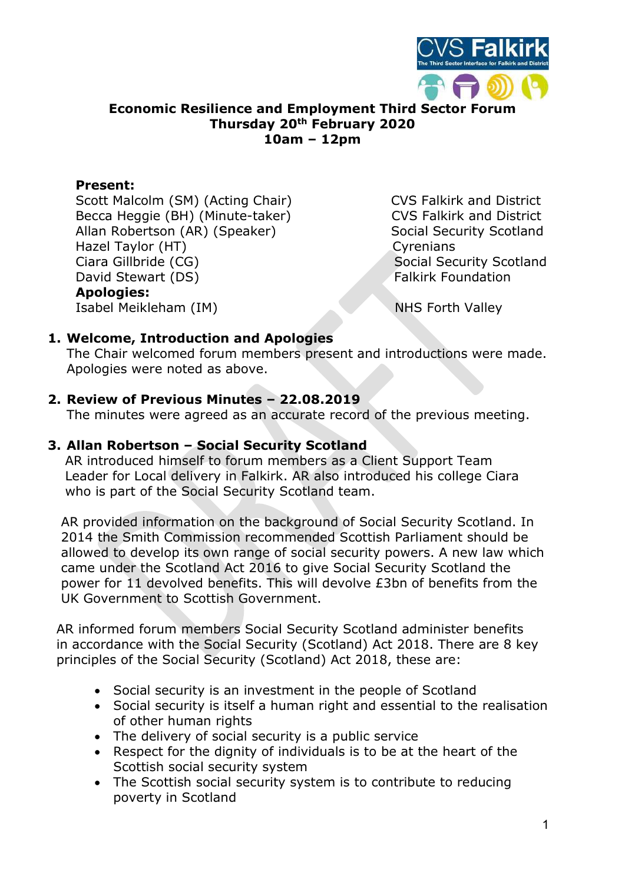

# **Economic Resilience and Employment Third Sector For** Thursday 20th February 2020 10am – 12pm

# Present:

Scott Malcolm (SM) (Acting Chair) CVS Falkirk and District Becca Heggie (BH) (Minute-taker) CVS Falkirk and District Allan Robertson (AR) (Speaker) Social Security Scotland Hazel Taylor (HT) Sandwich Cyrenians Ciara Gillbride (CG) Social Security Scotland David Stewart (DS) Falkirk Foundation Apologies: Isabel Meikleham (IM) NHS Forth Valley

# 1. Welcome, Introduction and Apologies

The Chair welcomed forum members present and introductions were made. Apologies were noted as above.

# 2. Review of Previous Minutes – 22.08.2019

The minutes were agreed as an accurate record of the previous meeting.

# 3. Allan Robertson – Social Security Scotland

AR introduced himself to forum members as a Client Support Team Leader for Local delivery in Falkirk. AR also introduced his college Ciara who is part of the Social Security Scotland team.

AR provided information on the background of Social Security Scotland. In 2014 the Smith Commission recommended Scottish Parliament should be allowed to develop its own range of social security powers. A new law which came under the Scotland Act 2016 to give Social Security Scotland the power for 11 devolved benefits. This will devolve £3bn of benefits from the UK Government to Scottish Government.

AR informed forum members Social Security Scotland administer benefits in accordance with the Social Security (Scotland) Act 2018. There are 8 key principles of the Social Security (Scotland) Act 2018, these are:

- Social security is an investment in the people of Scotland
- Social security is itself a human right and essential to the realisation of other human rights
- The delivery of social security is a public service
- Respect for the dignity of individuals is to be at the heart of the Scottish social security system
- The Scottish social security system is to contribute to reducing poverty in Scotland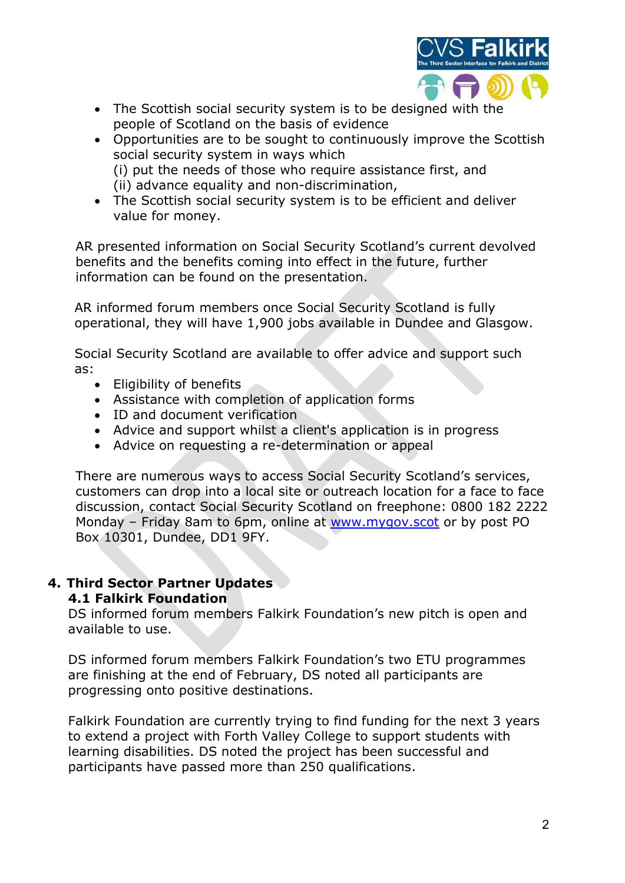

- The Scottish social security system is to be designed with the people of Scotland on the basis of evidence
- Opportunities are to be sought to continuously improve the Scottish social security system in ways which (i) put the needs of those who require assistance first, and (ii) advance equality and non-discrimination,
- The Scottish social security system is to be efficient and deliver value for money.

AR presented information on Social Security Scotland's current devolved benefits and the benefits coming into effect in the future, further information can be found on the presentation.

AR informed forum members once Social Security Scotland is fully operational, they will have 1,900 jobs available in Dundee and Glasgow.

Social Security Scotland are available to offer advice and support such as:

- Eligibility of benefits
- Assistance with completion of application forms
- ID and document verification
- Advice and support whilst a client's application is in progress
- Advice on requesting a re-determination or appeal

There are numerous ways to access Social Security Scotland's services, customers can drop into a local site or outreach location for a face to face discussion, contact Social Security Scotland on freephone: 0800 182 2222 Monday – Friday 8am to 6pm, online at www.mygov.scot or by post PO Box 10301, Dundee, DD1 9FY.

#### 4. Third Sector Partner Updates 4.1 Falkirk Foundation

DS informed forum members Falkirk Foundation's new pitch is open and available to use.

DS informed forum members Falkirk Foundation's two ETU programmes are finishing at the end of February, DS noted all participants are progressing onto positive destinations.

Falkirk Foundation are currently trying to find funding for the next 3 years to extend a project with Forth Valley College to support students with learning disabilities. DS noted the project has been successful and participants have passed more than 250 qualifications.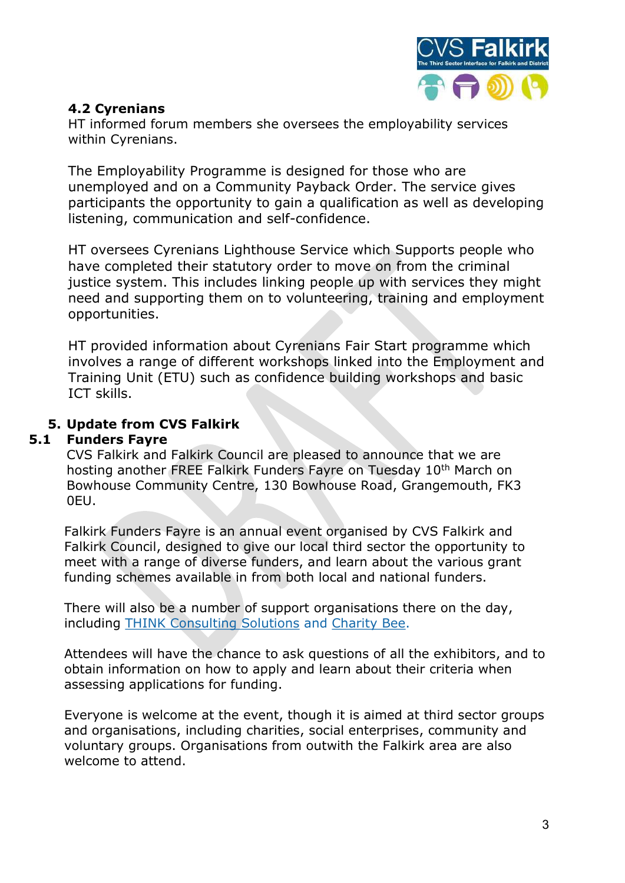

# 4.2 Cyrenians

HT informed forum members she oversees the employability services within Cyrenians.

The Employability Programme is designed for those who are unemployed and on a Community Payback Order. The service gives participants the opportunity to gain a qualification as well as developing listening, communication and self-confidence.

HT oversees Cyrenians Lighthouse Service which Supports people who have completed their statutory order to move on from the criminal justice system. This includes linking people up with services they might need and supporting them on to volunteering, training and employment opportunities.

HT provided information about Cyrenians Fair Start programme which involves a range of different workshops linked into the Employment and Training Unit (ETU) such as confidence building workshops and basic ICT skills.

# 5. Update from CVS Falkirk

# 5.1 Funders Fayre

CVS Falkirk and Falkirk Council are pleased to announce that we are hosting another FREE Falkirk Funders Fayre on Tuesday 10<sup>th</sup> March on Bowhouse Community Centre, 130 Bowhouse Road, Grangemouth, FK3 0EU.

Falkirk Funders Fayre is an annual event organised by CVS Falkirk and Falkirk Council, designed to give our local third sector the opportunity to meet with a range of diverse funders, and learn about the various grant funding schemes available in from both local and national funders.

There will also be a number of support organisations there on the day, including THINK Consulting Solutions and Charity Bee.

Attendees will have the chance to ask questions of all the exhibitors, and to obtain information on how to apply and learn about their criteria when assessing applications for funding.

Everyone is welcome at the event, though it is aimed at third sector groups and organisations, including charities, social enterprises, community and voluntary groups. Organisations from outwith the Falkirk area are also welcome to attend.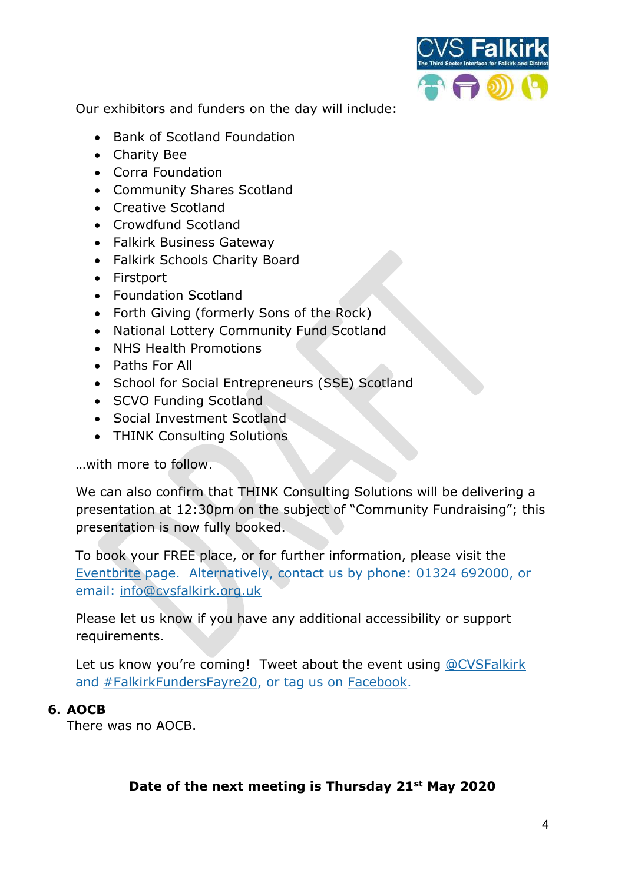

Our exhibitors and funders on the day will include:

- Bank of Scotland Foundation
- Charity Bee
- Corra Foundation
- Community Shares Scotland
- Creative Scotland
- Crowdfund Scotland
- Falkirk Business Gateway
- Falkirk Schools Charity Board
- Firstport
- Foundation Scotland
- Forth Giving (formerly Sons of the Rock)
- National Lottery Community Fund Scotland
- NHS Health Promotions
- Paths For All
- School for Social Entrepreneurs (SSE) Scotland
- SCVO Funding Scotland
- Social Investment Scotland
- THINK Consulting Solutions

…with more to follow.

We can also confirm that THINK Consulting Solutions will be delivering a presentation at 12:30pm on the subject of "Community Fundraising"; this presentation is now fully booked.

To book your FREE place, or for further information, please visit the Eventbrite page. Alternatively, contact us by phone: 01324 692000, or email: info@cvsfalkirk.org.uk

Please let us know if you have any additional accessibility or support requirements.

Let us know you're coming! Tweet about the event using @CVSFalkirk and #FalkirkFundersFayre20, or tag us on Facebook.

# 6. AOCB

There was no AOCB.

# Date of the next meeting is Thursday 21<sup>st</sup> May 2020